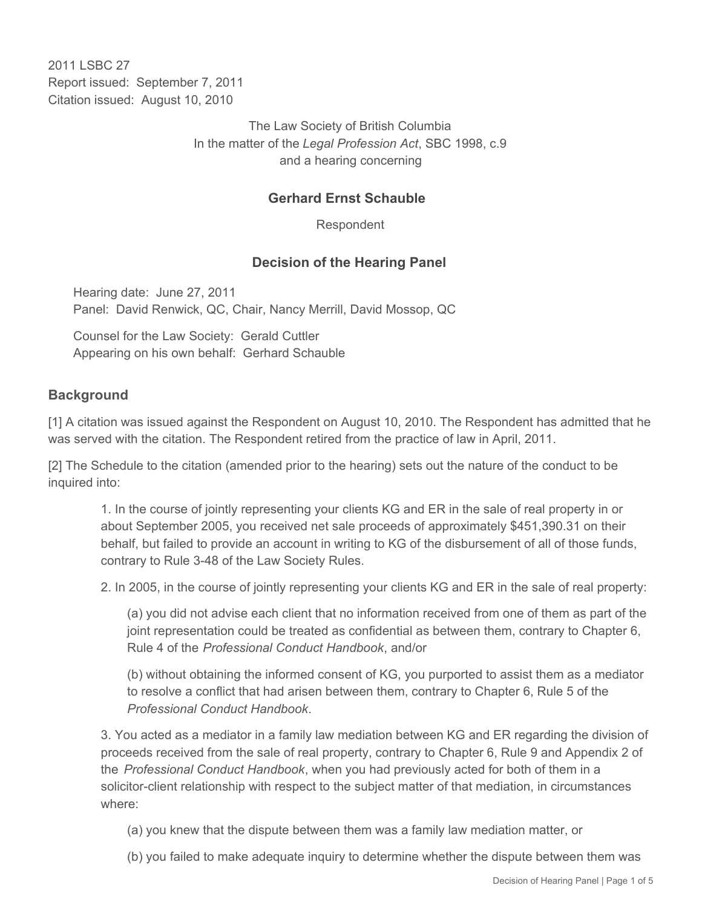2011 I SBC 27 Report issued: September 7, 2011 Citation issued: August 10, 2010

> The Law Society of British Columbia In the matter of the *Legal Profession Act*, SBC 1998, c.9 and a hearing concerning

### **Gerhard Ernst Schauble**

Respondent

### **Decision of the Hearing Panel**

Hearing date: June 27, 2011 Panel: David Renwick, QC, Chair, Nancy Merrill, David Mossop, QC

Counsel for the Law Society: Gerald Cuttler Appearing on his own behalf: Gerhard Schauble

#### **Background**

[1] A citation was issued against the Respondent on August 10, 2010. The Respondent has admitted that he was served with the citation. The Respondent retired from the practice of law in April, 2011.

[2] The Schedule to the citation (amended prior to the hearing) sets out the nature of the conduct to be inquired into:

1. In the course of jointly representing your clients KG and ER in the sale of real property in or about September 2005, you received net sale proceeds of approximately \$451,390.31 on their behalf, but failed to provide an account in writing to KG of the disbursement of all of those funds, contrary to Rule 3-48 of the Law Society Rules.

2. In 2005, in the course of jointly representing your clients KG and ER in the sale of real property:

(a) you did not advise each client that no information received from one of them as part of the joint representation could be treated as confidential as between them, contrary to Chapter 6, Rule 4 of the *Professional Conduct Handbook*, and/or

(b) without obtaining the informed consent of KG, you purported to assist them as a mediator to resolve a conflict that had arisen between them, contrary to Chapter 6, Rule 5 of the *Professional Conduct Handbook*.

3. You acted as a mediator in a family law mediation between KG and ER regarding the division of proceeds received from the sale of real property, contrary to Chapter 6, Rule 9 and Appendix 2 of the *Professional Conduct Handbook*, when you had previously acted for both of them in a solicitor-client relationship with respect to the subject matter of that mediation, in circumstances where:

- (a) you knew that the dispute between them was a family law mediation matter, or
- (b) you failed to make adequate inquiry to determine whether the dispute between them was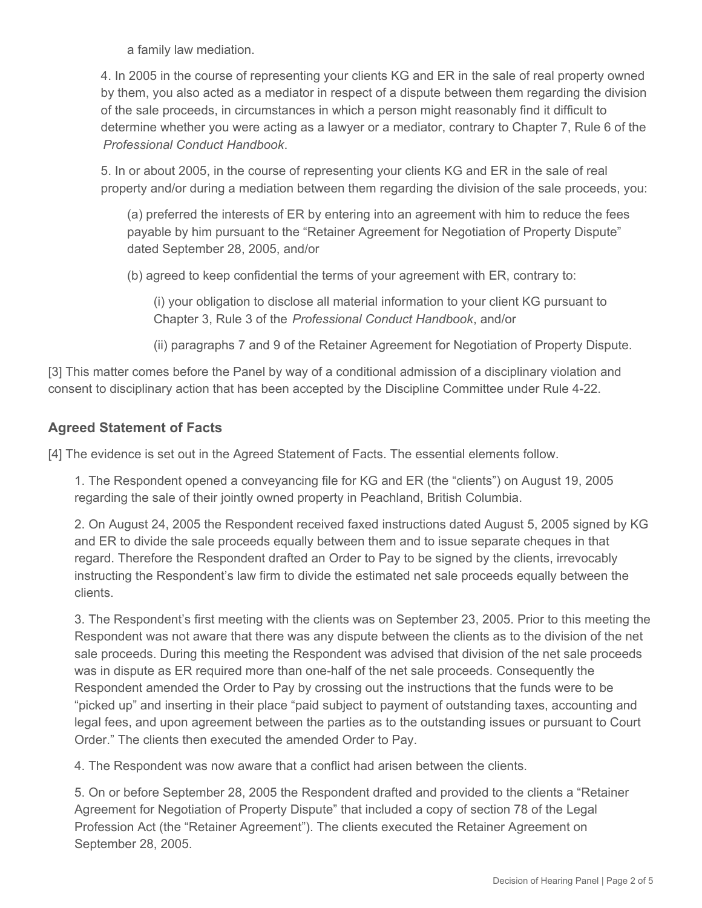a family law mediation.

4. In 2005 in the course of representing your clients KG and ER in the sale of real property owned by them, you also acted as a mediator in respect of a dispute between them regarding the division of the sale proceeds, in circumstances in which a person might reasonably find it difficult to determine whether you were acting as a lawyer or a mediator, contrary to Chapter 7, Rule 6 of the *Professional Conduct Handbook*.

5. In or about 2005, in the course of representing your clients KG and ER in the sale of real property and/or during a mediation between them regarding the division of the sale proceeds, you:

(a) preferred the interests of ER by entering into an agreement with him to reduce the fees payable by him pursuant to the "Retainer Agreement for Negotiation of Property Dispute" dated September 28, 2005, and/or

(b) agreed to keep confidential the terms of your agreement with ER, contrary to:

(i) your obligation to disclose all material information to your client KG pursuant to Chapter 3, Rule 3 of the *Professional Conduct Handbook*, and/or

(ii) paragraphs 7 and 9 of the Retainer Agreement for Negotiation of Property Dispute.

[3] This matter comes before the Panel by way of a conditional admission of a disciplinary violation and consent to disciplinary action that has been accepted by the Discipline Committee under Rule 4-22.

## **Agreed Statement of Facts**

[4] The evidence is set out in the Agreed Statement of Facts. The essential elements follow.

1. The Respondent opened a conveyancing file for KG and ER (the "clients") on August 19, 2005 regarding the sale of their jointly owned property in Peachland, British Columbia.

2. On August 24, 2005 the Respondent received faxed instructions dated August 5, 2005 signed by KG and ER to divide the sale proceeds equally between them and to issue separate cheques in that regard. Therefore the Respondent drafted an Order to Pay to be signed by the clients, irrevocably instructing the Respondent's law firm to divide the estimated net sale proceeds equally between the clients.

3. The Respondent's first meeting with the clients was on September 23, 2005. Prior to this meeting the Respondent was not aware that there was any dispute between the clients as to the division of the net sale proceeds. During this meeting the Respondent was advised that division of the net sale proceeds was in dispute as ER required more than one-half of the net sale proceeds. Consequently the Respondent amended the Order to Pay by crossing out the instructions that the funds were to be "picked up" and inserting in their place "paid subject to payment of outstanding taxes, accounting and legal fees, and upon agreement between the parties as to the outstanding issues or pursuant to Court Order." The clients then executed the amended Order to Pay.

4. The Respondent was now aware that a conflict had arisen between the clients.

5. On or before September 28, 2005 the Respondent drafted and provided to the clients a "Retainer Agreement for Negotiation of Property Dispute" that included a copy of section 78 of the Legal Profession Act (the "Retainer Agreement"). The clients executed the Retainer Agreement on September 28, 2005.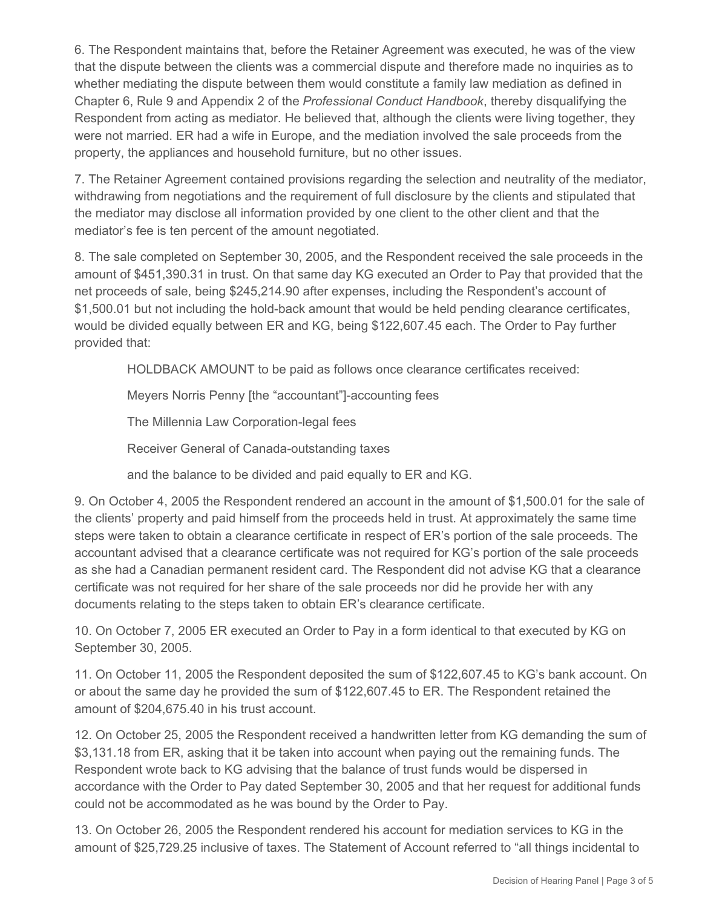6. The Respondent maintains that, before the Retainer Agreement was executed, he was of the view that the dispute between the clients was a commercial dispute and therefore made no inquiries as to whether mediating the dispute between them would constitute a family law mediation as defined in Chapter 6, Rule 9 and Appendix 2 of the *Professional Conduct Handbook*, thereby disqualifying the Respondent from acting as mediator. He believed that, although the clients were living together, they were not married. ER had a wife in Europe, and the mediation involved the sale proceeds from the property, the appliances and household furniture, but no other issues.

7. The Retainer Agreement contained provisions regarding the selection and neutrality of the mediator, withdrawing from negotiations and the requirement of full disclosure by the clients and stipulated that the mediator may disclose all information provided by one client to the other client and that the mediator's fee is ten percent of the amount negotiated.

8. The sale completed on September 30, 2005, and the Respondent received the sale proceeds in the amount of \$451,390.31 in trust. On that same day KG executed an Order to Pay that provided that the net proceeds of sale, being \$245,214.90 after expenses, including the Respondent's account of \$1,500.01 but not including the hold-back amount that would be held pending clearance certificates, would be divided equally between ER and KG, being \$122,607.45 each. The Order to Pay further provided that:

HOLDBACK AMOUNT to be paid as follows once clearance certificates received:

Meyers Norris Penny [the "accountant"]-accounting fees

The Millennia Law Corporation-legal fees

Receiver General of Canada-outstanding taxes

and the balance to be divided and paid equally to ER and KG.

9. On October 4, 2005 the Respondent rendered an account in the amount of \$1,500.01 for the sale of the clients' property and paid himself from the proceeds held in trust. At approximately the same time steps were taken to obtain a clearance certificate in respect of ER's portion of the sale proceeds. The accountant advised that a clearance certificate was not required for KG's portion of the sale proceeds as she had a Canadian permanent resident card. The Respondent did not advise KG that a clearance certificate was not required for her share of the sale proceeds nor did he provide her with any documents relating to the steps taken to obtain ER's clearance certificate.

10. On October 7, 2005 ER executed an Order to Pay in a form identical to that executed by KG on September 30, 2005.

11. On October 11, 2005 the Respondent deposited the sum of \$122,607.45 to KG's bank account. On or about the same day he provided the sum of \$122,607.45 to ER. The Respondent retained the amount of \$204,675.40 in his trust account.

12. On October 25, 2005 the Respondent received a handwritten letter from KG demanding the sum of \$3,131.18 from ER, asking that it be taken into account when paying out the remaining funds. The Respondent wrote back to KG advising that the balance of trust funds would be dispersed in accordance with the Order to Pay dated September 30, 2005 and that her request for additional funds could not be accommodated as he was bound by the Order to Pay.

13. On October 26, 2005 the Respondent rendered his account for mediation services to KG in the amount of \$25,729.25 inclusive of taxes. The Statement of Account referred to "all things incidental to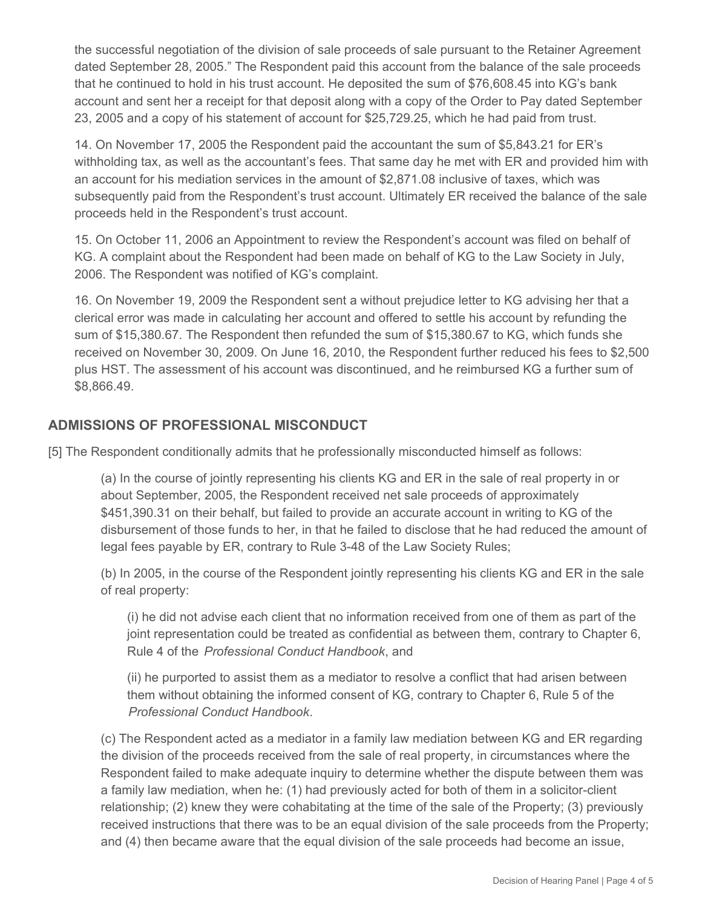the successful negotiation of the division of sale proceeds of sale pursuant to the Retainer Agreement dated September 28, 2005." The Respondent paid this account from the balance of the sale proceeds that he continued to hold in his trust account. He deposited the sum of \$76,608.45 into KG's bank account and sent her a receipt for that deposit along with a copy of the Order to Pay dated September 23, 2005 and a copy of his statement of account for \$25,729.25, which he had paid from trust.

14. On November 17, 2005 the Respondent paid the accountant the sum of \$5,843.21 for ER's withholding tax, as well as the accountant's fees. That same day he met with ER and provided him with an account for his mediation services in the amount of \$2,871.08 inclusive of taxes, which was subsequently paid from the Respondent's trust account. Ultimately ER received the balance of the sale proceeds held in the Respondent's trust account.

15. On October 11, 2006 an Appointment to review the Respondent's account was filed on behalf of KG. A complaint about the Respondent had been made on behalf of KG to the Law Society in July, 2006. The Respondent was notified of KG's complaint.

16. On November 19, 2009 the Respondent sent a without prejudice letter to KG advising her that a clerical error was made in calculating her account and offered to settle his account by refunding the sum of \$15,380.67. The Respondent then refunded the sum of \$15,380.67 to KG, which funds she received on November 30, 2009. On June 16, 2010, the Respondent further reduced his fees to \$2,500 plus HST. The assessment of his account was discontinued, and he reimbursed KG a further sum of \$8,866.49.

## **ADMISSIONS OF PROFESSIONAL MISCONDUCT**

[5] The Respondent conditionally admits that he professionally misconducted himself as follows:

(a) In the course of jointly representing his clients KG and ER in the sale of real property in or about September, 2005, the Respondent received net sale proceeds of approximately \$451,390.31 on their behalf, but failed to provide an accurate account in writing to KG of the disbursement of those funds to her, in that he failed to disclose that he had reduced the amount of legal fees payable by ER, contrary to Rule 3-48 of the Law Society Rules;

(b) In 2005, in the course of the Respondent jointly representing his clients KG and ER in the sale of real property:

(i) he did not advise each client that no information received from one of them as part of the joint representation could be treated as confidential as between them, contrary to Chapter 6, Rule 4 of the *Professional Conduct Handbook*, and

(ii) he purported to assist them as a mediator to resolve a conflict that had arisen between them without obtaining the informed consent of KG, contrary to Chapter 6, Rule 5 of the *Professional Conduct Handbook*.

(c) The Respondent acted as a mediator in a family law mediation between KG and ER regarding the division of the proceeds received from the sale of real property, in circumstances where the Respondent failed to make adequate inquiry to determine whether the dispute between them was a family law mediation, when he: (1) had previously acted for both of them in a solicitor-client relationship; (2) knew they were cohabitating at the time of the sale of the Property; (3) previously received instructions that there was to be an equal division of the sale proceeds from the Property; and (4) then became aware that the equal division of the sale proceeds had become an issue,